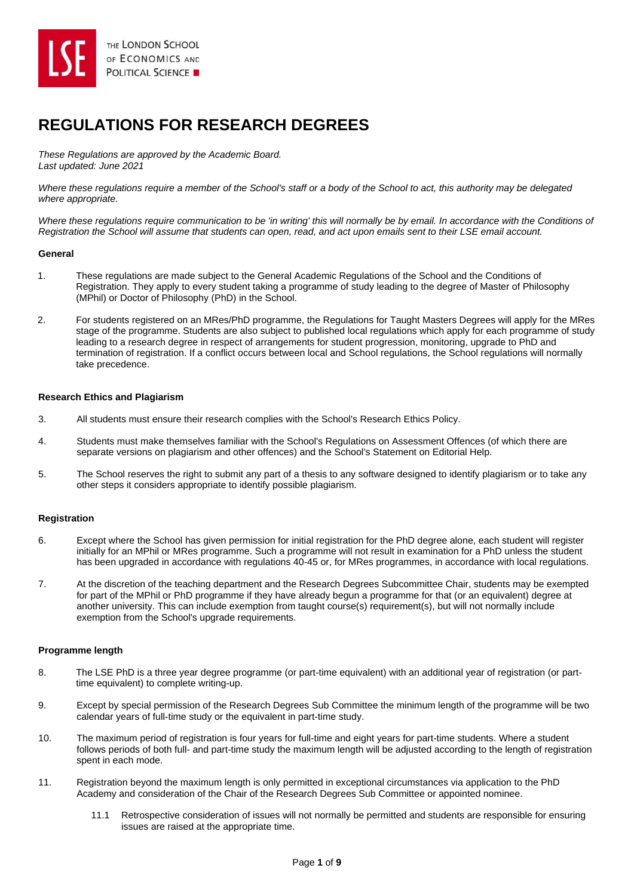

# **REGULATIONS FOR RESEARCH DEGREES**

*These Regulations are approved by the Academic Board. Last updated: June 2021*

*Where these regulations require a member of the School's staff or a body of the School to act, this authority may be delegated where appropriate.* 

Where these regulations reguire communication to be 'in writing' this will normally be by email. In accordance with the Conditions of *Registration the School will assume that students can open, read, and act upon emails sent to their LSE email account.*

## **General**

- 1. These regulations are made subject to the General Academic Regulations of the School and the Conditions of Registration. They apply to every student taking a programme of study leading to the degree of Master of Philosophy (MPhil) or Doctor of Philosophy (PhD) in the School.
- 2. For students registered on an MRes/PhD programme, the Regulations for Taught Masters Degrees will apply for the MRes stage of the programme. Students are also subject to published local regulations which apply for each programme of study leading to a research degree in respect of arrangements for student progression, monitoring, upgrade to PhD and termination of registration. If a conflict occurs between local and School regulations, the School regulations will normally take precedence.

# **Research Ethics and Plagiarism**

- 3. All students must ensure their research complies with the School's Research Ethics Policy.
- 4. Students must make themselves familiar with the School's Regulations on Assessment Offences (of which there are separate versions on plagiarism and other offences) and the School's Statement on Editorial Help.
- 5. The School reserves the right to submit any part of a thesis to any software designed to identify plagiarism or to take any other steps it considers appropriate to identify possible plagiarism.

# **Registration**

- 6. Except where the School has given permission for initial registration for the PhD degree alone, each student will register initially for an MPhil or MRes programme. Such a programme will not result in examination for a PhD unless the student has been upgraded in accordance with regulations 40-45 or, for MRes programmes, in accordance with local regulations.
- 7. At the discretion of the teaching department and the Research Degrees Subcommittee Chair, students may be exempted for part of the MPhil or PhD programme if they have already begun a programme for that (or an equivalent) degree at another university. This can include exemption from taught course(s) requirement(s), but will not normally include exemption from the School's upgrade requirements.

## **Programme length**

- 8. The LSE PhD is a three year degree programme (or part-time equivalent) with an additional year of registration (or parttime equivalent) to complete writing-up.
- 9. Except by special permission of the Research Degrees Sub Committee the minimum length of the programme will be two calendar years of full-time study or the equivalent in part-time study.
- 10. The maximum period of registration is four years for full-time and eight years for part-time students. Where a student follows periods of both full- and part-time study the maximum length will be adjusted according to the length of registration spent in each mode.
- 11. Registration beyond the maximum length is only permitted in exceptional circumstances via application to the PhD Academy and consideration of the Chair of the Research Degrees Sub Committee or appointed nominee.
	- 11.1 Retrospective consideration of issues will not normally be permitted and students are responsible for ensuring issues are raised at the appropriate time.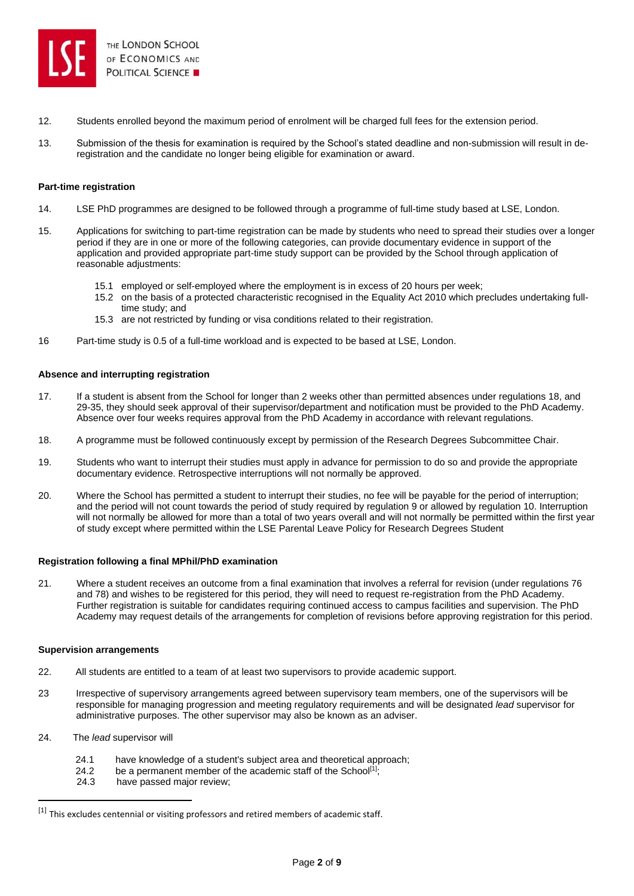

- 12. Students enrolled beyond the maximum period of enrolment will be charged full fees for the extension period.
- 13. Submission of the thesis for examination is required by the School's stated deadline and non-submission will result in deregistration and the candidate no longer being eligible for examination or award.

## **Part-time registration**

- 14. LSE PhD programmes are designed to be followed through a programme of full-time study based at LSE, London.
- 15. Applications for switching to part-time registration can be made by students who need to spread their studies over a longer period if they are in one or more of the following categories, can provide documentary evidence in support of the application and provided appropriate part-time study support can be provided by the School through application of reasonable adjustments:
	- 15.1 employed or self-employed where the employment is in excess of 20 hours per week;
	- 15.2 on the basis of a protected characteristic recognised in the Equality Act 2010 which precludes undertaking fulltime study; and
	- 15.3 are not restricted by funding or visa conditions related to their registration.
- 16 Part-time study is 0.5 of a full-time workload and is expected to be based at LSE, London.

#### **Absence and interrupting registration**

- 17. If a student is absent from the School for longer than 2 weeks other than permitted absences under regulations 18, and 29-35, they should seek approval of their supervisor/department and notification must be provided to the PhD Academy. Absence over four weeks requires approval from the PhD Academy in accordance with relevant regulations.
- 18. A programme must be followed continuously except by permission of the Research Degrees Subcommittee Chair.
- 19. Students who want to interrupt their studies must apply in advance for permission to do so and provide the appropriate documentary evidence. Retrospective interruptions will not normally be approved.
- 20. Where the School has permitted a student to interrupt their studies, no fee will be payable for the period of interruption; and the period will not count towards the period of study required by regulation 9 or allowed by regulation 10. Interruption will not normally be allowed for more than a total of two years overall and will not normally be permitted within the first year of study except where permitted within the LSE Parental Leave Policy for Research Degrees Student

#### **Registration following a final MPhil/PhD examination**

21. Where a student receives an outcome from a final examination that involves a referral for revision (under regulations 76 and 78) and wishes to be registered for this period, they will need to request re-registration from the PhD Academy. Further registration is suitable for candidates requiring continued access to campus facilities and supervision. The PhD Academy may request details of the arrangements for completion of revisions before approving registration for this period.

#### **Supervision arrangements**

- 22. All students are entitled to a team of at least two supervisors to provide academic support.
- 23 Irrespective of supervisory arrangements agreed between supervisory team members, one of the supervisors will be responsible for managing progression and meeting regulatory requirements and will be designated *lead* supervisor for administrative purposes. The other supervisor may also be known as an adviser.
- 24. The *lead* supervisor will
	- 24.1 have knowledge of a student's subject area and theoretical approach;
	- 24.2 be a permanent member of the academic staff of the School<sup>[1]</sup>;
	- 24.3 have passed major review;

<sup>[1]</sup> This excludes centennial or visiting professors and retired members of academic staff.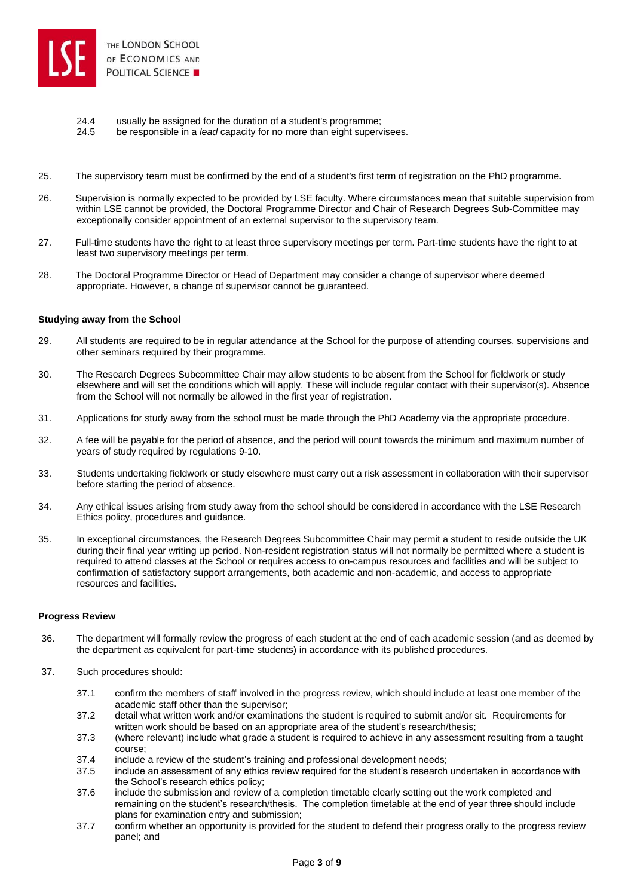

- 24.4 usually be assigned for the duration of a student's programme;
- 24.5 be responsible in a *lead* capacity for no more than eight supervisees.
- 25. The supervisory team must be confirmed by the end of a student's first term of registration on the PhD programme.
- 26. Supervision is normally expected to be provided by LSE faculty. Where circumstances mean that suitable supervision from within LSE cannot be provided, the Doctoral Programme Director and Chair of Research Degrees Sub-Committee may exceptionally consider appointment of an external supervisor to the supervisory team.
- 27. Full-time students have the right to at least three supervisory meetings per term. Part-time students have the right to at least two supervisory meetings per term.
- 28. The Doctoral Programme Director or Head of Department may consider a change of supervisor where deemed appropriate. However, a change of supervisor cannot be guaranteed.

## **Studying away from the School**

- 29. All students are required to be in regular attendance at the School for the purpose of attending courses, supervisions and other seminars required by their programme.
- 30. The Research Degrees Subcommittee Chair may allow students to be absent from the School for fieldwork or study elsewhere and will set the conditions which will apply. These will include regular contact with their supervisor(s). Absence from the School will not normally be allowed in the first year of registration.
- 31. Applications for study away from the school must be made through the PhD Academy via the appropriate procedure.
- 32. A fee will be payable for the period of absence, and the period will count towards the minimum and maximum number of years of study required by regulations 9-10.
- 33. Students undertaking fieldwork or study elsewhere must carry out a risk assessment in collaboration with their supervisor before starting the period of absence.
- 34. Any ethical issues arising from study away from the school should be considered in accordance with the LSE Research Ethics policy, procedures and guidance.
- 35. In exceptional circumstances, the Research Degrees Subcommittee Chair may permit a student to reside outside the UK during their final year writing up period. Non-resident registration status will not normally be permitted where a student is required to attend classes at the School or requires access to on-campus resources and facilities and will be subject to confirmation of satisfactory support arrangements, both academic and non-academic, and access to appropriate resources and facilities.

## **Progress Review**

- 36. The department will formally review the progress of each student at the end of each academic session (and as deemed by the department as equivalent for part-time students) in accordance with its published procedures.
- 37. Such procedures should:
	- 37.1 confirm the members of staff involved in the progress review, which should include at least one member of the academic staff other than the supervisor;
	- 37.2 detail what written work and/or examinations the student is required to submit and/or sit. Requirements for written work should be based on an appropriate area of the student's research/thesis;
	- 37.3 (where relevant) include what grade a student is required to achieve in any assessment resulting from a taught course;
	- 37.4 include a review of the student's training and professional development needs;
	- 37.5 include an assessment of any ethics review required for the student's research undertaken in accordance with the School's research ethics policy;
	- 37.6 include the submission and review of a completion timetable clearly setting out the work completed and remaining on the student's research/thesis. The completion timetable at the end of year three should include plans for examination entry and submission;
	- 37.7 confirm whether an opportunity is provided for the student to defend their progress orally to the progress review panel; and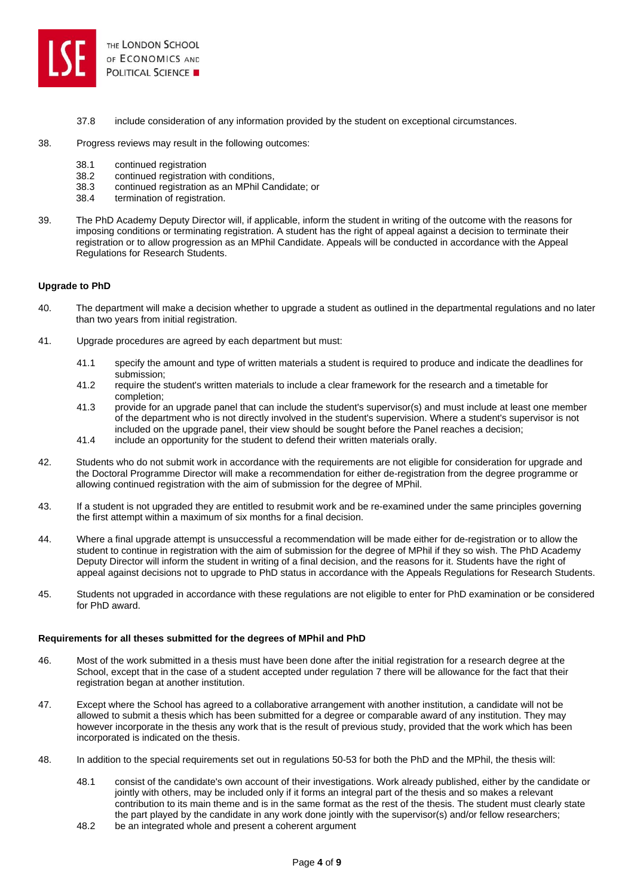

- 37.8 include consideration of any information provided by the student on exceptional circumstances.
- 38. Progress reviews may result in the following outcomes:
	- 38.1 continued registration
	- 38.2 continued registration with conditions,
	- 38.3 continued registration as an MPhil Candidate; or
	- 38.4 termination of registration.
- 39. The PhD Academy Deputy Director will, if applicable, inform the student in writing of the outcome with the reasons for imposing conditions or terminating registration. A student has the right of appeal against a decision to terminate their registration or to allow progression as an MPhil Candidate. Appeals will be conducted in accordance with the Appeal Regulations for Research Students.

# **Upgrade to PhD**

- 40. The department will make a decision whether to upgrade a student as outlined in the departmental regulations and no later than two years from initial registration.
- 41. Upgrade procedures are agreed by each department but must:
	- 41.1 specify the amount and type of written materials a student is required to produce and indicate the deadlines for submission;
	- 41.2 require the student's written materials to include a clear framework for the research and a timetable for completion;
	- 41.3 provide for an upgrade panel that can include the student's supervisor(s) and must include at least one member of the department who is not directly involved in the student's supervision. Where a student's supervisor is not included on the upgrade panel, their view should be sought before the Panel reaches a decision;
	- 41.4 include an opportunity for the student to defend their written materials orally.
- 42. Students who do not submit work in accordance with the requirements are not eligible for consideration for upgrade and the Doctoral Programme Director will make a recommendation for either de-registration from the degree programme or allowing continued registration with the aim of submission for the degree of MPhil.
- 43. If a student is not upgraded they are entitled to resubmit work and be re-examined under the same principles governing the first attempt within a maximum of six months for a final decision.
- 44. Where a final upgrade attempt is unsuccessful a recommendation will be made either for de-registration or to allow the student to continue in registration with the aim of submission for the degree of MPhil if they so wish. The PhD Academy Deputy Director will inform the student in writing of a final decision, and the reasons for it. Students have the right of appeal against decisions not to upgrade to PhD status in accordance with the Appeals Regulations for Research Students.
- 45. Students not upgraded in accordance with these regulations are not eligible to enter for PhD examination or be considered for PhD award.

## **Requirements for all theses submitted for the degrees of MPhil and PhD**

- 46. Most of the work submitted in a thesis must have been done after the initial registration for a research degree at the School, except that in the case of a student accepted under regulation 7 there will be allowance for the fact that their registration began at another institution.
- 47. Except where the School has agreed to a collaborative arrangement with another institution, a candidate will not be allowed to submit a thesis which has been submitted for a degree or comparable award of any institution. They may however incorporate in the thesis any work that is the result of previous study, provided that the work which has been incorporated is indicated on the thesis.
- 48. In addition to the special requirements set out in regulations 50-53 for both the PhD and the MPhil, the thesis will:
	- 48.1 consist of the candidate's own account of their investigations. Work already published, either by the candidate or jointly with others, may be included only if it forms an integral part of the thesis and so makes a relevant contribution to its main theme and is in the same format as the rest of the thesis. The student must clearly state the part played by the candidate in any work done jointly with the supervisor(s) and/or fellow researchers;
	- 48.2 be an integrated whole and present a coherent argument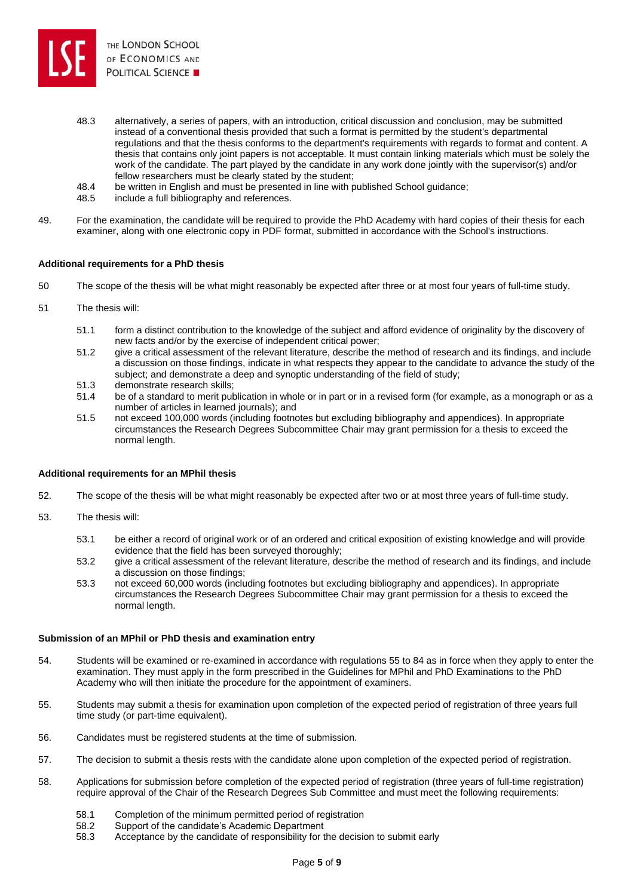

- 48.3 alternatively, a series of papers, with an introduction, critical discussion and conclusion, may be submitted instead of a conventional thesis provided that such a format is permitted by the student's departmental regulations and that the thesis conforms to the department's requirements with regards to format and content. A thesis that contains only joint papers is not acceptable. It must contain linking materials which must be solely the work of the candidate. The part played by the candidate in any work done jointly with the supervisor(s) and/or fellow researchers must be clearly stated by the student;
- 48.4 be written in English and must be presented in line with published School guidance;
- 48.5 include a full bibliography and references.
- 49. For the examination, the candidate will be required to provide the PhD Academy with hard copies of their thesis for each examiner, along with one electronic copy in PDF format, submitted in accordance with the School's instructions.

## **Additional requirements for a PhD thesis**

- 50 The scope of the thesis will be what might reasonably be expected after three or at most four years of full-time study.
- 51 The thesis will:
	- 51.1 form a distinct contribution to the knowledge of the subject and afford evidence of originality by the discovery of new facts and/or by the exercise of independent critical power;
	- 51.2 give a critical assessment of the relevant literature, describe the method of research and its findings, and include a discussion on those findings, indicate in what respects they appear to the candidate to advance the study of the subject; and demonstrate a deep and synoptic understanding of the field of study;
	- 51.3 demonstrate research skills;
	- 51.4 be of a standard to merit publication in whole or in part or in a revised form (for example, as a monograph or as a number of articles in learned journals); and
	- 51.5 not exceed 100,000 words (including footnotes but excluding bibliography and appendices). In appropriate circumstances the Research Degrees Subcommittee Chair may grant permission for a thesis to exceed the normal length.

#### **Additional requirements for an MPhil thesis**

- 52. The scope of the thesis will be what might reasonably be expected after two or at most three years of full-time study.
- 53. The thesis will:
	- 53.1 be either a record of original work or of an ordered and critical exposition of existing knowledge and will provide evidence that the field has been surveyed thoroughly;
	- 53.2 give a critical assessment of the relevant literature, describe the method of research and its findings, and include a discussion on those findings;
	- 53.3 not exceed 60,000 words (including footnotes but excluding bibliography and appendices). In appropriate circumstances the Research Degrees Subcommittee Chair may grant permission for a thesis to exceed the normal length.

#### **Submission of an MPhil or PhD thesis and examination entry**

- 54. Students will be examined or re-examined in accordance with regulations 55 to 84 as in force when they apply to enter the examination. They must apply in the form prescribed in the Guidelines for MPhil and PhD Examinations to the PhD Academy who will then initiate the procedure for the appointment of examiners.
- 55. Students may submit a thesis for examination upon completion of the expected period of registration of three years full time study (or part-time equivalent).
- 56. Candidates must be registered students at the time of submission.
- 57. The decision to submit a thesis rests with the candidate alone upon completion of the expected period of registration.
- 58. Applications for submission before completion of the expected period of registration (three years of full-time registration) require approval of the Chair of the Research Degrees Sub Committee and must meet the following requirements:
	- 58.1 Completion of the minimum permitted period of registration
	- 58.2 Support of the candidate's Academic Department
	- 58.3 Acceptance by the candidate of responsibility for the decision to submit early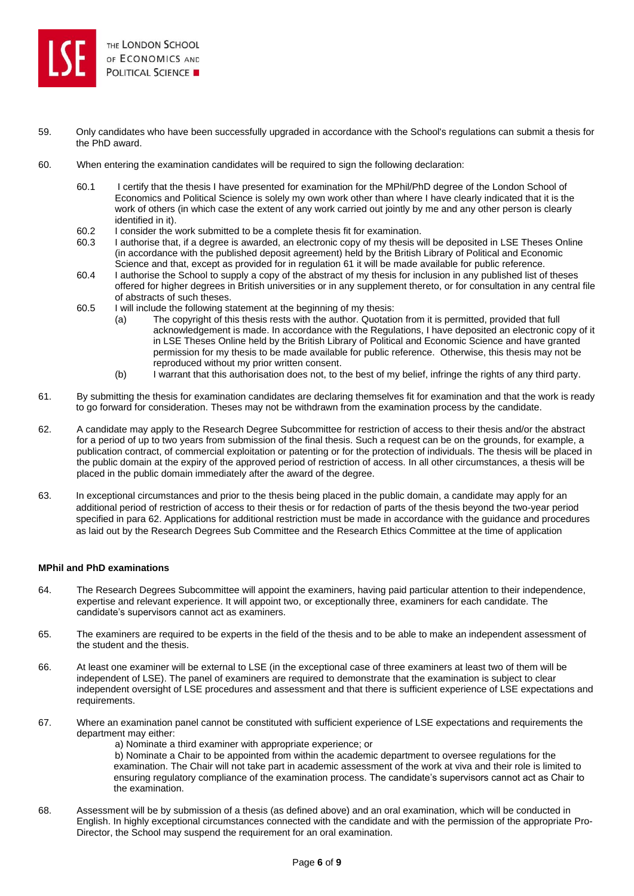

- 59. Only candidates who have been successfully upgraded in accordance with the School's regulations can submit a thesis for the PhD award.
- 60. When entering the examination candidates will be required to sign the following declaration:
	- 60.1 I certify that the thesis I have presented for examination for the MPhil/PhD degree of the London School of Economics and Political Science is solely my own work other than where I have clearly indicated that it is the work of others (in which case the extent of any work carried out jointly by me and any other person is clearly identified in it).
	- 60.2 I consider the work submitted to be a complete thesis fit for examination.
	- 60.3 I authorise that, if a degree is awarded, an electronic copy of my thesis will be deposited in LSE Theses Online (in accordance with the published deposit agreement) held by the British Library of Political and Economic Science and that, except as provided for in regulation 61 it will be made available for public reference.
	- 60.4 I authorise the School to supply a copy of the abstract of my thesis for inclusion in any published list of theses offered for higher degrees in British universities or in any supplement thereto, or for consultation in any central file of abstracts of such theses.
	- 60.5 I will include the following statement at the beginning of my thesis:
		- (a) The copyright of this thesis rests with the author. Quotation from it is permitted, provided that full acknowledgement is made. In accordance with the Regulations, I have deposited an electronic copy of it in LSE Theses Online held by the British Library of Political and Economic Science and have granted permission for my thesis to be made available for public reference. Otherwise, this thesis may not be reproduced without my prior written consent.
		- (b) I warrant that this authorisation does not, to the best of my belief, infringe the rights of any third party.
- 61. By submitting the thesis for examination candidates are declaring themselves fit for examination and that the work is ready to go forward for consideration. Theses may not be withdrawn from the examination process by the candidate.
- 62. A candidate may apply to the Research Degree Subcommittee for restriction of access to their thesis and/or the abstract for a period of up to two years from submission of the final thesis. Such a request can be on the grounds, for example, a publication contract, of commercial exploitation or patenting or for the protection of individuals. The thesis will be placed in the public domain at the expiry of the approved period of restriction of access. In all other circumstances, a thesis will be placed in the public domain immediately after the award of the degree.
- 63. In exceptional circumstances and prior to the thesis being placed in the public domain, a candidate may apply for an additional period of restriction of access to their thesis or for redaction of parts of the thesis beyond the two-year period specified in para 62. Applications for additional restriction must be made in accordance with the guidance and procedures as laid out by the Research Degrees Sub Committee and the Research Ethics Committee at the time of application

## **MPhil and PhD examinations**

- 64. The Research Degrees Subcommittee will appoint the examiners, having paid particular attention to their independence, expertise and relevant experience. It will appoint two, or exceptionally three, examiners for each candidate. The candidate's supervisors cannot act as examiners.
- 65. The examiners are required to be experts in the field of the thesis and to be able to make an independent assessment of the student and the thesis.
- 66. At least one examiner will be external to LSE (in the exceptional case of three examiners at least two of them will be independent of LSE). The panel of examiners are required to demonstrate that the examination is subject to clear independent oversight of LSE procedures and assessment and that there is sufficient experience of LSE expectations and requirements.
- 67. Where an examination panel cannot be constituted with sufficient experience of LSE expectations and requirements the department may either:
	- a) Nominate a third examiner with appropriate experience; or

b) Nominate a Chair to be appointed from within the academic department to oversee regulations for the examination. The Chair will not take part in academic assessment of the work at viva and their role is limited to ensuring regulatory compliance of the examination process. The candidate's supervisors cannot act as Chair to the examination.

68. Assessment will be by submission of a thesis (as defined above) and an oral examination, which will be conducted in English. In highly exceptional circumstances connected with the candidate and with the permission of the appropriate Pro-Director, the School may suspend the requirement for an oral examination.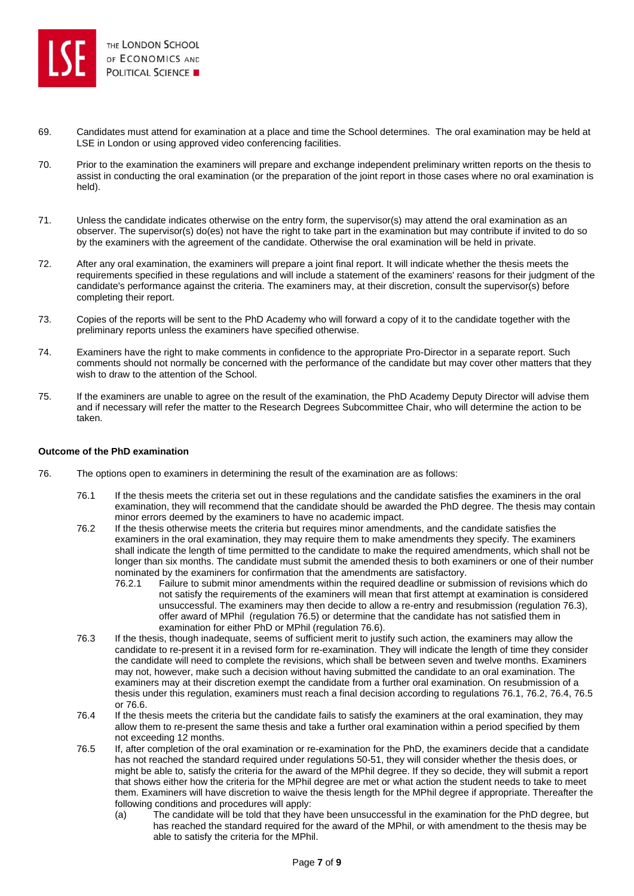

- 69. Candidates must attend for examination at a place and time the School determines. The oral examination may be held at LSE in London or using approved video conferencing facilities.
- 70. Prior to the examination the examiners will prepare and exchange independent preliminary written reports on the thesis to assist in conducting the oral examination (or the preparation of the joint report in those cases where no oral examination is held).
- 71. Unless the candidate indicates otherwise on the entry form, the supervisor(s) may attend the oral examination as an observer. The supervisor(s) do(es) not have the right to take part in the examination but may contribute if invited to do so by the examiners with the agreement of the candidate. Otherwise the oral examination will be held in private.
- 72. After any oral examination, the examiners will prepare a joint final report. It will indicate whether the thesis meets the requirements specified in these regulations and will include a statement of the examiners' reasons for their judgment of the candidate's performance against the criteria. The examiners may, at their discretion, consult the supervisor(s) before completing their report.
- 73. Copies of the reports will be sent to the PhD Academy who will forward a copy of it to the candidate together with the preliminary reports unless the examiners have specified otherwise.
- 74. Examiners have the right to make comments in confidence to the appropriate Pro-Director in a separate report. Such comments should not normally be concerned with the performance of the candidate but may cover other matters that they wish to draw to the attention of the School.
- 75. If the examiners are unable to agree on the result of the examination, the PhD Academy Deputy Director will advise them and if necessary will refer the matter to the Research Degrees Subcommittee Chair, who will determine the action to be taken.

## **Outcome of the PhD examination**

- 76. The options open to examiners in determining the result of the examination are as follows:
	- 76.1 If the thesis meets the criteria set out in these regulations and the candidate satisfies the examiners in the oral examination, they will recommend that the candidate should be awarded the PhD degree. The thesis may contain minor errors deemed by the examiners to have no academic impact.
	- 76.2 If the thesis otherwise meets the criteria but requires minor amendments, and the candidate satisfies the examiners in the oral examination, they may require them to make amendments they specify. The examiners shall indicate the length of time permitted to the candidate to make the required amendments, which shall not be longer than six months. The candidate must submit the amended thesis to both examiners or one of their number nominated by the examiners for confirmation that the amendments are satisfactory.
		- 76.2.1 Failure to submit minor amendments within the required deadline or submission of revisions which do not satisfy the requirements of the examiners will mean that first attempt at examination is considered unsuccessful. The examiners may then decide to allow a re-entry and resubmission (regulation 76.3), offer award of MPhil (regulation 76.5) or determine that the candidate has not satisfied them in examination for either PhD or MPhil (regulation 76.6).
	- 76.3 If the thesis, though inadequate, seems of sufficient merit to justify such action, the examiners may allow the candidate to re-present it in a revised form for re-examination. They will indicate the length of time they consider the candidate will need to complete the revisions, which shall be between seven and twelve months. Examiners may not, however, make such a decision without having submitted the candidate to an oral examination. The examiners may at their discretion exempt the candidate from a further oral examination. On resubmission of a thesis under this regulation, examiners must reach a final decision according to regulations 76.1, 76.2, 76.4, 76.5 or 76.6.
	- 76.4 If the thesis meets the criteria but the candidate fails to satisfy the examiners at the oral examination, they may allow them to re-present the same thesis and take a further oral examination within a period specified by them not exceeding 12 months.
	- 76.5 If, after completion of the oral examination or re-examination for the PhD, the examiners decide that a candidate has not reached the standard required under regulations 50-51, they will consider whether the thesis does, or might be able to, satisfy the criteria for the award of the MPhil degree. If they so decide, they will submit a report that shows either how the criteria for the MPhil degree are met or what action the student needs to take to meet them. Examiners will have discretion to waive the thesis length for the MPhil degree if appropriate. Thereafter the following conditions and procedures will apply:
		- (a) The candidate will be told that they have been unsuccessful in the examination for the PhD degree, but has reached the standard required for the award of the MPhil, or with amendment to the thesis may be able to satisfy the criteria for the MPhil.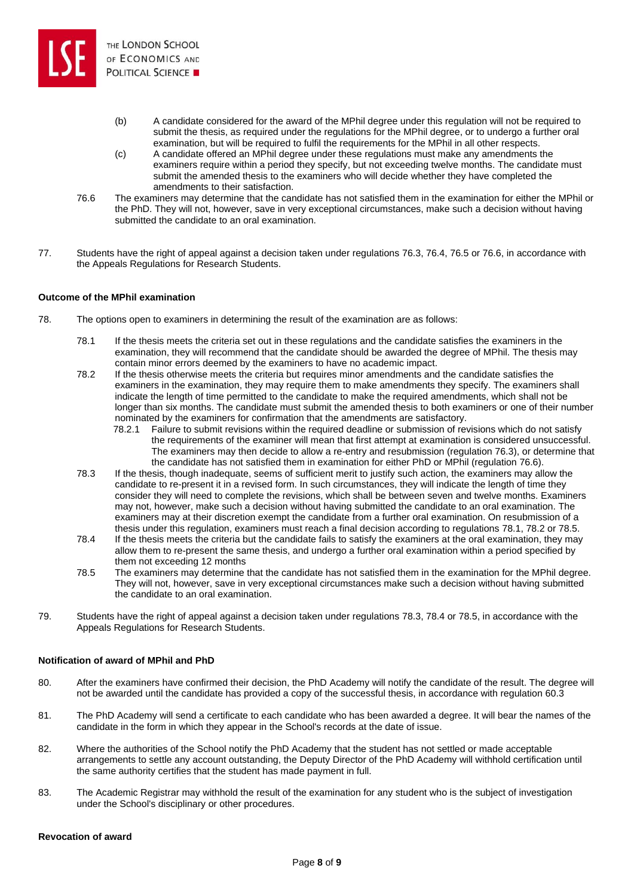

- (b) A candidate considered for the award of the MPhil degree under this regulation will not be required to submit the thesis, as required under the regulations for the MPhil degree, or to undergo a further oral examination, but will be required to fulfil the requirements for the MPhil in all other respects.
- (c) A candidate offered an MPhil degree under these regulations must make any amendments the examiners require within a period they specify, but not exceeding twelve months. The candidate must submit the amended thesis to the examiners who will decide whether they have completed the amendments to their satisfaction.
- 76.6 The examiners may determine that the candidate has not satisfied them in the examination for either the MPhil or the PhD. They will not, however, save in very exceptional circumstances, make such a decision without having submitted the candidate to an oral examination.
- 77. Students have the right of appeal against a decision taken under regulations 76.3, 76.4, 76.5 or 76.6, in accordance with the Appeals Regulations for Research Students.

# **Outcome of the MPhil examination**

- 78. The options open to examiners in determining the result of the examination are as follows:
	- 78.1 If the thesis meets the criteria set out in these regulations and the candidate satisfies the examiners in the examination, they will recommend that the candidate should be awarded the degree of MPhil. The thesis may contain minor errors deemed by the examiners to have no academic impact.
	- 78.2 If the thesis otherwise meets the criteria but requires minor amendments and the candidate satisfies the examiners in the examination, they may require them to make amendments they specify. The examiners shall indicate the length of time permitted to the candidate to make the required amendments, which shall not be longer than six months. The candidate must submit the amended thesis to both examiners or one of their number nominated by the examiners for confirmation that the amendments are satisfactory.
		- 78.2.1 Failure to submit revisions within the required deadline or submission of revisions which do not satisfy the requirements of the examiner will mean that first attempt at examination is considered unsuccessful. The examiners may then decide to allow a re-entry and resubmission (regulation 76.3), or determine that the candidate has not satisfied them in examination for either PhD or MPhil (regulation 76.6).
	- 78.3 If the thesis, though inadequate, seems of sufficient merit to justify such action, the examiners may allow the candidate to re-present it in a revised form. In such circumstances, they will indicate the length of time they consider they will need to complete the revisions, which shall be between seven and twelve months. Examiners may not, however, make such a decision without having submitted the candidate to an oral examination. The examiners may at their discretion exempt the candidate from a further oral examination. On resubmission of a thesis under this regulation, examiners must reach a final decision according to regulations 78.1, 78.2 or 78.5.
	- 78.4 If the thesis meets the criteria but the candidate fails to satisfy the examiners at the oral examination, they may allow them to re-present the same thesis, and undergo a further oral examination within a period specified by them not exceeding 12 months
	- 78.5 The examiners may determine that the candidate has not satisfied them in the examination for the MPhil degree. They will not, however, save in very exceptional circumstances make such a decision without having submitted the candidate to an oral examination.
- 79. Students have the right of appeal against a decision taken under regulations 78.3, 78.4 or 78.5, in accordance with the Appeals Regulations for Research Students.

## **Notification of award of MPhil and PhD**

- 80. After the examiners have confirmed their decision, the PhD Academy will notify the candidate of the result. The degree will not be awarded until the candidate has provided a copy of the successful thesis, in accordance with regulation 60.3
- 81. The PhD Academy will send a certificate to each candidate who has been awarded a degree. It will bear the names of the candidate in the form in which they appear in the School's records at the date of issue.
- 82. Where the authorities of the School notify the PhD Academy that the student has not settled or made acceptable arrangements to settle any account outstanding, the Deputy Director of the PhD Academy will withhold certification until the same authority certifies that the student has made payment in full.
- 83. The Academic Registrar may withhold the result of the examination for any student who is the subject of investigation under the School's disciplinary or other procedures.